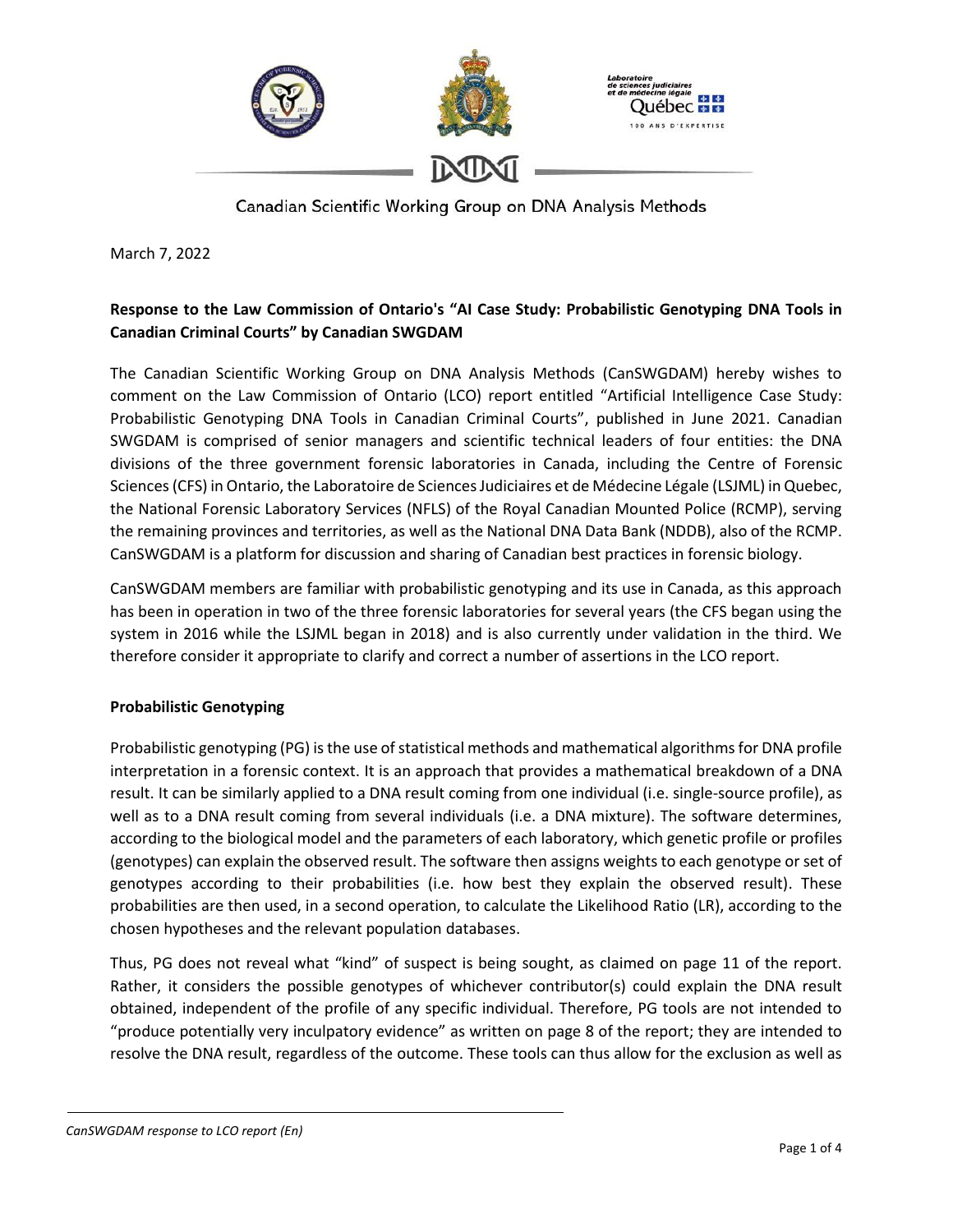

March 7, 2022

# **Response to the Law Commission of Ontario's "AI Case Study: Probabilistic Genotyping DNA Tools in Canadian Criminal Courts" by Canadian SWGDAM**

The Canadian Scientific Working Group on DNA Analysis Methods (CanSWGDAM) hereby wishes to comment on the Law Commission of Ontario (LCO) report entitled "Artificial Intelligence Case Study: Probabilistic Genotyping DNA Tools in Canadian Criminal Courts", published in June 2021. Canadian SWGDAM is comprised of senior managers and scientific technical leaders of four entities: the DNA divisions of the three government forensic laboratories in Canada, including the Centre of Forensic Sciences(CFS) in Ontario, the Laboratoire de Sciences Judiciaires et de Médecine Légale (LSJML) in Quebec, the National Forensic Laboratory Services (NFLS) of the Royal Canadian Mounted Police (RCMP), serving the remaining provinces and territories, as well as the National DNA Data Bank (NDDB), also of the RCMP. CanSWGDAM is a platform for discussion and sharing of Canadian best practices in forensic biology.

CanSWGDAM members are familiar with probabilistic genotyping and its use in Canada, as this approach has been in operation in two of the three forensic laboratories for several years (the CFS began using the system in 2016 while the LSJML began in 2018) and is also currently under validation in the third. We therefore consider it appropriate to clarify and correct a number of assertions in the LCO report.

#### **Probabilistic Genotyping**

Probabilistic genotyping (PG) is the use of statistical methods and mathematical algorithms for DNA profile interpretation in a forensic context. It is an approach that provides a mathematical breakdown of a DNA result. It can be similarly applied to a DNA result coming from one individual (i.e. single-source profile), as well as to a DNA result coming from several individuals (i.e. a DNA mixture). The software determines, according to the biological model and the parameters of each laboratory, which genetic profile or profiles (genotypes) can explain the observed result. The software then assigns weights to each genotype or set of genotypes according to their probabilities (i.e. how best they explain the observed result). These probabilities are then used, in a second operation, to calculate the Likelihood Ratio (LR), according to the chosen hypotheses and the relevant population databases.

Thus, PG does not reveal what "kind" of suspect is being sought, as claimed on page 11 of the report. Rather, it considers the possible genotypes of whichever contributor(s) could explain the DNA result obtained, independent of the profile of any specific individual. Therefore, PG tools are not intended to "produce potentially very inculpatory evidence" as written on page 8 of the report; they are intended to resolve the DNA result, regardless of the outcome. These tools can thus allow for the exclusion as well as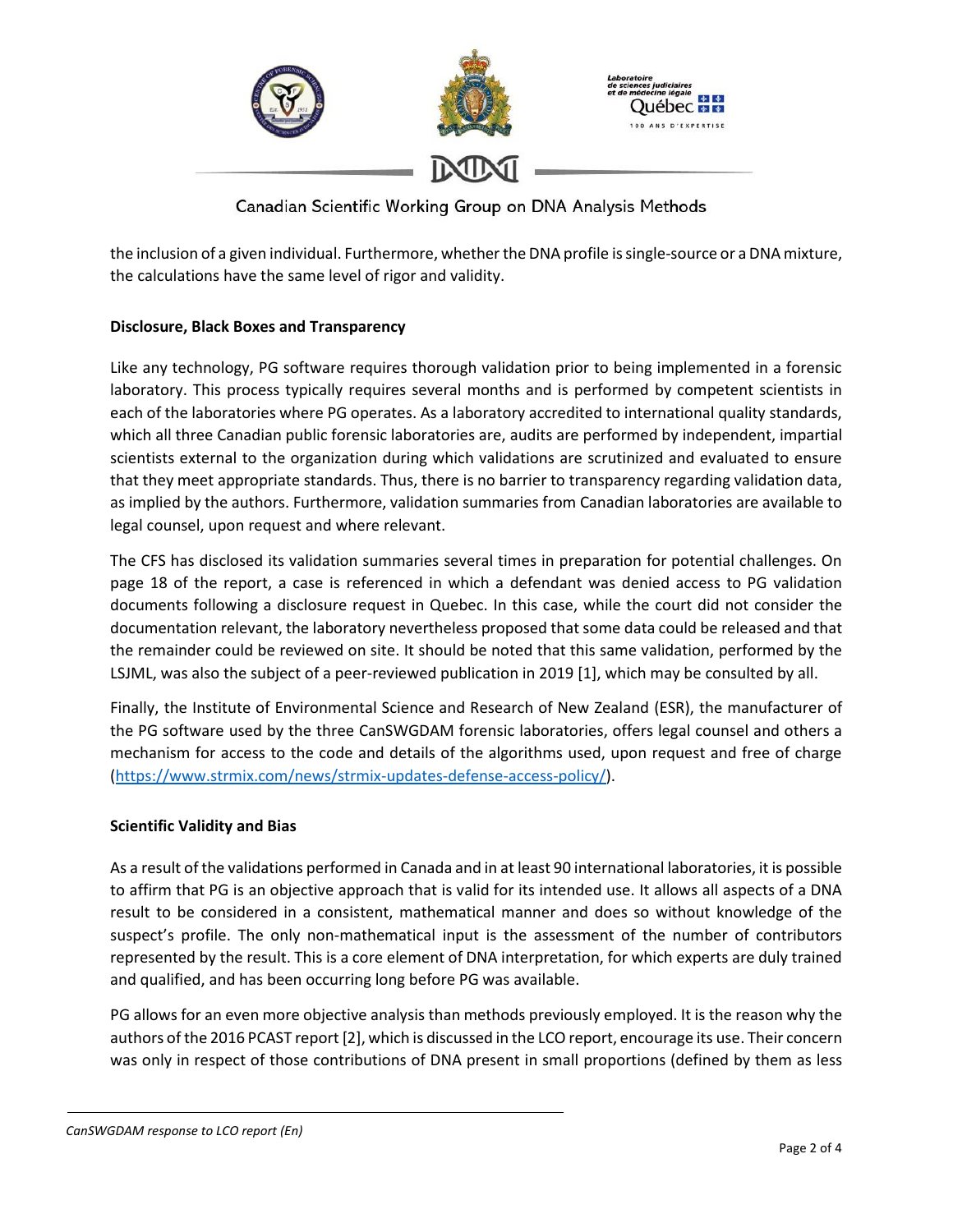

the inclusion of a given individual. Furthermore, whether the DNA profile is single-source or a DNA mixture, the calculations have the same level of rigor and validity.

### **Disclosure, Black Boxes and Transparency**

Like any technology, PG software requires thorough validation prior to being implemented in a forensic laboratory. This process typically requires several months and is performed by competent scientists in each of the laboratories where PG operates. As a laboratory accredited to international quality standards, which all three Canadian public forensic laboratories are, audits are performed by independent, impartial scientists external to the organization during which validations are scrutinized and evaluated to ensure that they meet appropriate standards. Thus, there is no barrier to transparency regarding validation data, as implied by the authors. Furthermore, validation summaries from Canadian laboratories are available to legal counsel, upon request and where relevant.

The CFS has disclosed its validation summaries several times in preparation for potential challenges. On page 18 of the report, a case is referenced in which a defendant was denied access to PG validation documents following a disclosure request in Quebec. In this case, while the court did not consider the documentation relevant, the laboratory nevertheless proposed that some data could be released and that the remainder could be reviewed on site. It should be noted that this same validation, performed by the LSJML, was also the subject of a peer-reviewed publication in 2019 [1], which may be consulted by all.

Finally, the Institute of Environmental Science and Research of New Zealand (ESR), the manufacturer of the PG software used by the three CanSWGDAM forensic laboratories, offers legal counsel and others a mechanism for access to the code and details of the algorithms used, upon request and free of charge [\(https://www.strmix.com/news/strmix-updates-defense-access-policy/\)](https://www.strmix.com/news/strmix-updates-defense-access-policy/).

### **Scientific Validity and Bias**

As a result of the validations performed in Canada and in at least 90 international laboratories, it is possible to affirm that PG is an objective approach that is valid for its intended use. It allows all aspects of a DNA result to be considered in a consistent, mathematical manner and does so without knowledge of the suspect's profile. The only non-mathematical input is the assessment of the number of contributors represented by the result. This is a core element of DNA interpretation, for which experts are duly trained and qualified, and has been occurring long before PG was available.

PG allows for an even more objective analysis than methods previously employed. It is the reason why the authors of the 2016 PCAST report [2], which is discussed in the LCO report, encourage its use. Their concern was only in respect of those contributions of DNA present in small proportions (defined by them as less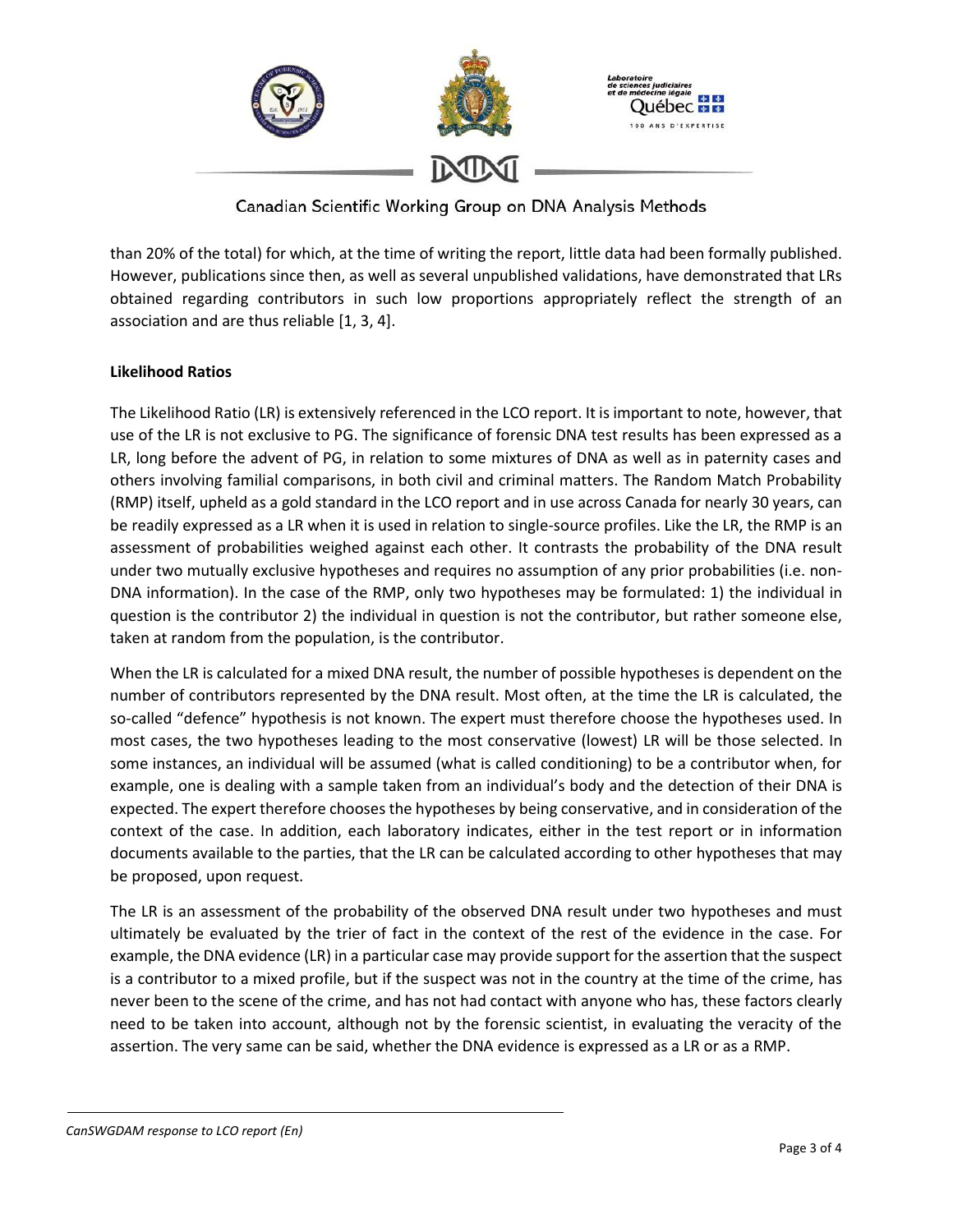

than 20% of the total) for which, at the time of writing the report, little data had been formally published. However, publications since then, as well as several unpublished validations, have demonstrated that LRs obtained regarding contributors in such low proportions appropriately reflect the strength of an association and are thus reliable [1, 3, 4].

### **Likelihood Ratios**

The Likelihood Ratio (LR) is extensively referenced in the LCO report. It is important to note, however, that use of the LR is not exclusive to PG. The significance of forensic DNA test results has been expressed as a LR, long before the advent of PG, in relation to some mixtures of DNA as well as in paternity cases and others involving familial comparisons, in both civil and criminal matters. The Random Match Probability (RMP) itself, upheld as a gold standard in the LCO report and in use across Canada for nearly 30 years, can be readily expressed as a LR when it is used in relation to single-source profiles. Like the LR, the RMP is an assessment of probabilities weighed against each other. It contrasts the probability of the DNA result under two mutually exclusive hypotheses and requires no assumption of any prior probabilities (i.e. non-DNA information). In the case of the RMP, only two hypotheses may be formulated: 1) the individual in question is the contributor 2) the individual in question is not the contributor, but rather someone else, taken at random from the population, is the contributor.

When the LR is calculated for a mixed DNA result, the number of possible hypotheses is dependent on the number of contributors represented by the DNA result. Most often, at the time the LR is calculated, the so-called "defence" hypothesis is not known. The expert must therefore choose the hypotheses used. In most cases, the two hypotheses leading to the most conservative (lowest) LR will be those selected. In some instances, an individual will be assumed (what is called conditioning) to be a contributor when, for example, one is dealing with a sample taken from an individual's body and the detection of their DNA is expected. The expert therefore chooses the hypotheses by being conservative, and in consideration of the context of the case. In addition, each laboratory indicates, either in the test report or in information documents available to the parties, that the LR can be calculated according to other hypotheses that may be proposed, upon request.

The LR is an assessment of the probability of the observed DNA result under two hypotheses and must ultimately be evaluated by the trier of fact in the context of the rest of the evidence in the case. For example, the DNA evidence (LR) in a particular case may provide support for the assertion that the suspect is a contributor to a mixed profile, but if the suspect was not in the country at the time of the crime, has never been to the scene of the crime, and has not had contact with anyone who has, these factors clearly need to be taken into account, although not by the forensic scientist, in evaluating the veracity of the assertion. The very same can be said, whether the DNA evidence is expressed as a LR or as a RMP.